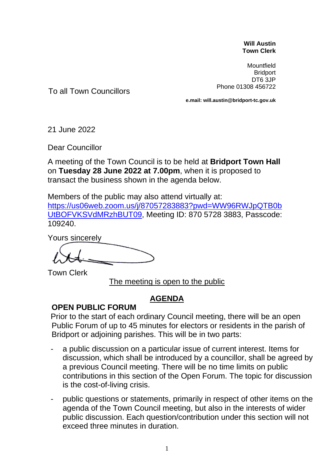## **Will Austin Town Clerk**

Mountfield **Bridport** DT6 3JP Phone 01308 456722

To all Town Councillors

**e.mail: will.austin@bridport-tc.gov.uk**

21 June 2022

Dear Councillor

A meeting of the Town Council is to be held at **Bridport Town Hall** on **Tuesday 28 June 2022 at 7.00pm**, when it is proposed to transact the business shown in the agenda below.

Members of the public may also attend virtually at:

[https://us06web.zoom.us/j/87057283883?pwd=WW96RWJpQTB0b](https://us06web.zoom.us/j/87057283883?pwd=WW96RWJpQTB0bUtBOFVKSVdMRzhBUT09) [UtBOFVKSVdMRzhBUT09,](https://us06web.zoom.us/j/87057283883?pwd=WW96RWJpQTB0bUtBOFVKSVdMRzhBUT09) Meeting ID: 870 5728 3883, Passcode: 109240.

Yours sincerely

Town Clerk

The meeting is open to the public

## **AGENDA**

## **OPEN PUBLIC FORUM**

Prior to the start of each ordinary Council meeting, there will be an open Public Forum of up to 45 minutes for electors or residents in the parish of Bridport or adjoining parishes. This will be in two parts:

- a public discussion on a particular issue of current interest. Items for discussion, which shall be introduced by a councillor, shall be agreed by a previous Council meeting. There will be no time limits on public contributions in this section of the Open Forum. The topic for discussion is the cost-of-living crisis.
- public questions or statements, primarily in respect of other items on the agenda of the Town Council meeting, but also in the interests of wider public discussion. Each question/contribution under this section will not exceed three minutes in duration.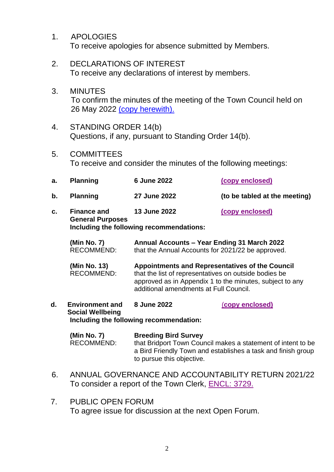- 1. APOLOGIES To receive apologies for absence submitted by Members.
- 2. DECLARATIONS OF INTEREST To receive any declarations of interest by members.
- 3. MINUTES To confirm the minutes of the meeting of the Town Council held on 26 May 2022 [\(copy herewith\).](https://www.bridport-tc.gov.uk/wp-content/uploads/2022/06/M-26-05-22.pdf)
- 4. STANDING ORDER 14(b) Questions, if any, pursuant to Standing Order 14(b).
- 5. COMMITTEES To receive and consider the minutes of the following meetings:

| a. | <b>Planning</b>                               | 6 June 2022  | (copy enclosed)               |
|----|-----------------------------------------------|--------------|-------------------------------|
| b. | <b>Planning</b>                               | 27 June 2022 | (to be tabled at the meeting) |
| c. | <b>Finance and</b><br><b>General Purposes</b> | 13 June 2022 | (copy enclosed)               |

**Including the following recommendations:**

| (Min No. 7) | Annual Accounts - Year Ending 31 March 2022       |
|-------------|---------------------------------------------------|
| RECOMMEND:  | that the Annual Accounts for 2021/22 be approved. |

**(Min No. 13) Appointments and Representatives of the Council** that the list of representatives on outside bodies be approved as in Appendix 1 to the minutes, subject to any additional amendments at Full Council.

**d. Environment and Social Wellbeing 8 June 2022** (**[copy enclosed\)](https://www.bridport-tc.gov.uk/wp-content/uploads/2022/06/M-08-06-22.pdf) Including the following recommendation:**

**(Min No. 7) Breeding Bird Survey** RECOMMEND: that Bridport Town Council makes a statement of intent to be a Bird Friendly Town and establishes a task and finish group to pursue this objective.

- 6. ANNUAL GOVERNANCE AND ACCOUNTABILITY RETURN 2021/22 To consider a report of the Town Clerk, [ENCL: 3729.](https://www.bridport-tc.gov.uk/wp-content/uploads/2022/06/28-06-22-Annual-Return-ENCL-3729.pdf)
- 7. PUBLIC OPEN FORUM To agree issue for discussion at the next Open Forum.